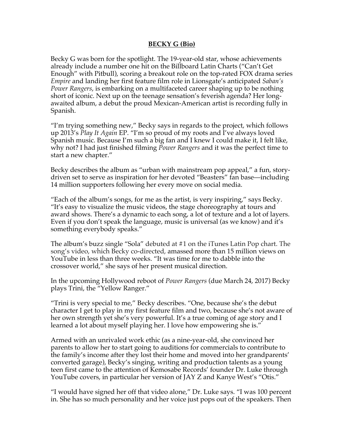## **BECKY G (Bio)**

Becky G was born for the spotlight. The 19-year-old star, whose achievements already include a number one hit on the Billboard Latin Charts ("Can't Get Enough" with Pitbull), scoring a breakout role on the top-rated FOX drama series *Empire* and landing her first feature film role in Lionsgate's anticipated *Saban's Power Rangers*, is embarking on a multifaceted career shaping up to be nothing short of iconic. Next up on the teenage sensation's feverish agenda? Her longawaited album, a debut the proud Mexican-American artist is recording fully in Spanish.

"I'm trying something new," Becky says in regards to the project, which follows up 2013's *Play It Again* EP. "I'm so proud of my roots and I've always loved Spanish music. Because I'm such a big fan and I knew I could make it, I felt like, why not? I had just finished filming *Power Rangers* and it was the perfect time to start a new chapter."

Becky describes the album as "urban with mainstream pop appeal," a fun, storydriven set to serve as inspiration for her devoted "Beasters" fan base—including 14 million supporters following her every move on social media.

"Each of the album's songs, for me as the artist, is very inspiring," says Becky. "It's easy to visualize the music videos, the stage choreography at tours and award shows. There's a dynamic to each song, a lot of texture and a lot of layers. Even if you don't speak the language, music is universal (as we know) and it's something everybody speaks."

The album's buzz single "Sola" debuted at #1 on the iTunes Latin Pop chart. The song's video, which Becky co-directed, amassed more than 15 million views on YouTube in less than three weeks. "It was time for me to dabble into the crossover world," she says of her present musical direction.

In the upcoming Hollywood reboot of *Power Rangers* (due March 24, 2017) Becky plays Trini, the "Yellow Ranger."

"Trini is very special to me," Becky describes. "One, because she's the debut character I get to play in my first feature film and two, because she's not aware of her own strength yet she's very powerful. It's a true coming of age story and I learned a lot about myself playing her. I love how empowering she is."

Armed with an unrivaled work ethic (as a nine-year-old, she convinced her parents to allow her to start going to auditions for commercials to contribute to the family's income after they lost their home and moved into her grandparents' converted garage), Becky's singing, writing and production talents as a young teen first came to the attention of Kemosabe Records' founder Dr. Luke through YouTube covers, in particular her version of JAY Z and Kanye West's "Otis."

"I would have signed her off that video alone," Dr. Luke says. "I was 100 percent in. She has so much personality and her voice just pops out of the speakers. Then